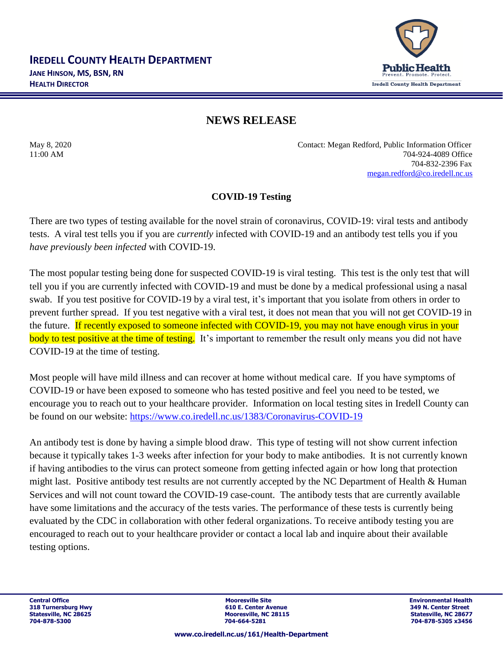

## **NEWS RELEASE**

May 8, 2020 Contact: Megan Redford, Public Information Officer 11:00 AM 704-924-4089 Office 704-832-2396 Fax [megan.redford@co.iredell.nc.us](mailto:megan.redford@co.iredell.nc.us)

## **COVID-19 Testing**

There are two types of testing available for the novel strain of coronavirus, COVID-19: viral tests and antibody tests. A viral test tells you if you are *currently* infected with COVID-19 and an antibody test tells you if you *have previously been infected* with COVID-19.

The most popular testing being done for suspected COVID-19 is viral testing. This test is the only test that will tell you if you are currently infected with COVID-19 and must be done by a medical professional using a nasal swab. If you test positive for COVID-19 by a viral test, it's important that you isolate from others in order to prevent further spread. If you test negative with a viral test, it does not mean that you will not get COVID-19 in the future. If recently exposed to someone infected with COVID-19, you may not have enough virus in your body to test positive at the time of testing. It's important to remember the result only means you did not have COVID-19 at the time of testing.

Most people will have mild illness and can recover at home without medical care. If you have symptoms of COVID-19 or have been exposed to someone who has tested positive and feel you need to be tested, we encourage you to reach out to your healthcare provider. Information on local testing sites in Iredell County can be found on our website: <https://www.co.iredell.nc.us/1383/Coronavirus-COVID-19>

An antibody test is done by having a simple blood draw. This type of testing will not show current infection because it typically takes 1-3 weeks after infection for your body to make antibodies. It is not currently known if having antibodies to the virus can protect someone from getting infected again or how long that protection might last. Positive antibody test results are not currently accepted by the NC Department of Health & Human Services and will not count toward the COVID-19 case-count. The antibody tests that are currently available have some limitations and the accuracy of the tests varies. The performance of these tests is currently being evaluated by the CDC in collaboration with other federal organizations. To receive antibody testing you are encouraged to reach out to your healthcare provider or contact a local lab and inquire about their available testing options.

**Central Office Mooresville Site Environmental Health 318 Turnersburg Hwy 1988 1998 1999 1999 1999 1999 1999 10:31 1999 1999 10:42 11:42 11:42 11:42 11:42 11:42 11:42 11:42 11:42 11:42 11:42 11:42 11:42 11:42 11:42 11:42 11:42 11:42 11:42 11:42 11:42 11:42 11:42 11:42 11:42 Statesville, NC 28115**<br> **Statesville, NC 28677**<br> **Statesville, NC 28677**<br> **STATES 28156**<br> **STATES 28456 704-878-5300 704-664-5281 704-878-5305 x3456**